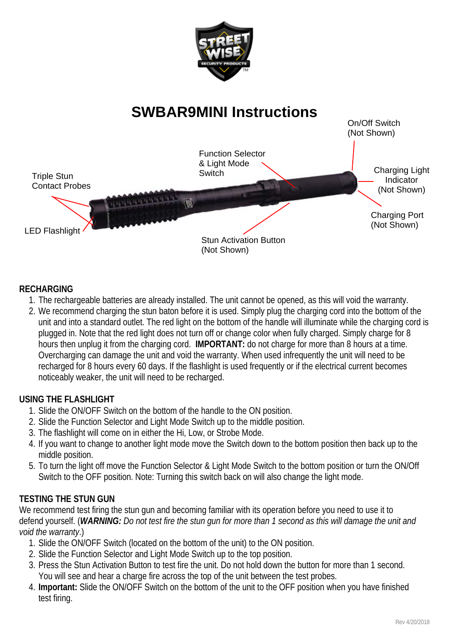

# **SWBAR9MINI Instructions**



# **RECHARGING**

- 1. The rechargeable batteries are already installed. The unit cannot be opened, as this will void the warranty.
- 2. We recommend charging the stun baton before it is used. Simply plug the charging cord into the bottom of the unit and into a standard outlet. The red light on the bottom of the handle will illuminate while the charging cord is plugged in. Note that the red light does not turn off or change color when fully charged. Simply charge for 8 hours then unplug it from the charging cord. **IMPORTANT:** do not charge for more than 8 hours at a time. Overcharging can damage the unit and void the warranty. When used infrequently the unit will need to be recharged for 8 hours every 60 days. If the flashlight is used frequently or if the electrical current becomes noticeably weaker, the unit will need to be recharged.

# **USING THE FLASHLIGHT**

- 1. Slide the ON/OFF Switch on the bottom of the handle to the ON position.
- 2. Slide the Function Selector and Light Mode Switch up to the middle position.
- 3. The flashlight will come on in either the Hi, Low, or Strobe Mode.
- 4. If you want to change to another light mode move the Switch down to the bottom position then back up to the middle position.
- 5. To turn the light off move the Function Selector & Light Mode Switch to the bottom position or turn the ON/Off Switch to the OFF position. Note: Turning this switch back on will also change the light mode.

# **TESTING THE STUN GUN**

We recommend test firing the stun gun and becoming familiar with its operation before you need to use it to defend yourself. (*WARNING: Do not test fire the stun gun for more than 1 second as this will damage the unit and void the warranty*.)

- 1. Slide the ON/OFF Switch (located on the bottom of the unit) to the ON position.
- 2. Slide the Function Selector and Light Mode Switch up to the top position.
- 3. Press the Stun Activation Button to test fire the unit. Do not hold down the button for more than 1 second. You will see and hear a charge fire across the top of the unit between the test probes.
- 4. **Important:** Slide the ON/OFF Switch on the bottom of the unit to the OFF position when you have finished test firing.